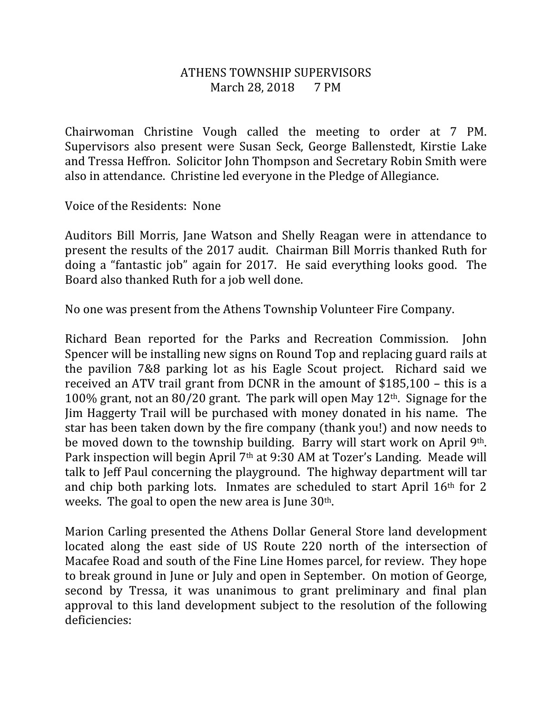## ATHENS TOWNSHIP SUPERVISORS March 28, 2018 7 PM

Chairwoman Christine Vough called the meeting to order at 7 PM. Supervisors also present were Susan Seck, George Ballenstedt, Kirstie Lake and Tressa Heffron. Solicitor John Thompson and Secretary Robin Smith were also in attendance. Christine led everyone in the Pledge of Allegiance.

Voice of the Residents: None

Auditors Bill Morris, Jane Watson and Shelly Reagan were in attendance to present the results of the 2017 audit. Chairman Bill Morris thanked Ruth for doing a "fantastic job" again for 2017. He said everything looks good. The Board also thanked Ruth for a job well done.

No one was present from the Athens Township Volunteer Fire Company.

Richard Bean reported for the Parks and Recreation Commission. John Spencer will be installing new signs on Round Top and replacing guard rails at the pavilion 7&8 parking lot as his Eagle Scout project. Richard said we received an ATV trail grant from DCNR in the amount of \$185,100 – this is a 100% grant, not an 80/20 grant. The park will open May 12th. Signage for the Jim Haggerty Trail will be purchased with money donated in his name. The star has been taken down by the fire company (thank you!) and now needs to be moved down to the township building. Barry will start work on April 9th. Park inspection will begin April 7th at 9:30 AM at Tozer's Landing. Meade will talk to Jeff Paul concerning the playground. The highway department will tar and chip both parking lots. Inmates are scheduled to start April 16th for 2 weeks. The goal to open the new area is June 30<sup>th</sup>.

Marion Carling presented the Athens Dollar General Store land development located along the east side of US Route 220 north of the intersection of Macafee Road and south of the Fine Line Homes parcel, for review. They hope to break ground in June or July and open in September. On motion of George, second by Tressa, it was unanimous to grant preliminary and final plan approval to this land development subject to the resolution of the following deficiencies: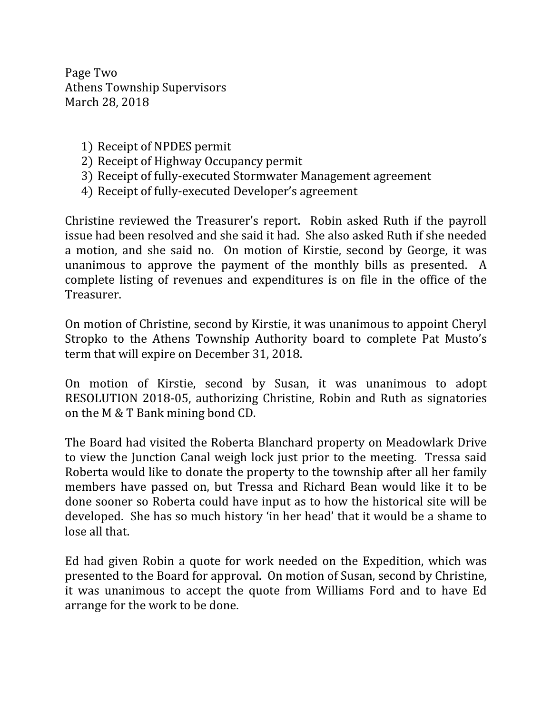Page Two Athens Township Supervisors March 28, 2018

- 1) Receipt of NPDES permit
- 2) Receipt of Highway Occupancy permit
- 3) Receipt of fully-executed Stormwater Management agreement
- 4) Receipt of fully-executed Developer's agreement

Christine reviewed the Treasurer's report. Robin asked Ruth if the payroll issue had been resolved and she said it had. She also asked Ruth if she needed a motion, and she said no. On motion of Kirstie, second by George, it was unanimous to approve the payment of the monthly bills as presented. A complete listing of revenues and expenditures is on file in the office of the Treasurer.

On motion of Christine, second by Kirstie, it was unanimous to appoint Cheryl Stropko to the Athens Township Authority board to complete Pat Musto's term that will expire on December 31, 2018.

On motion of Kirstie, second by Susan, it was unanimous to adopt RESOLUTION 2018-05, authorizing Christine, Robin and Ruth as signatories on the M & T Bank mining bond CD.

The Board had visited the Roberta Blanchard property on Meadowlark Drive to view the Junction Canal weigh lock just prior to the meeting. Tressa said Roberta would like to donate the property to the township after all her family members have passed on, but Tressa and Richard Bean would like it to be done sooner so Roberta could have input as to how the historical site will be developed. She has so much history 'in her head' that it would be a shame to lose all that.

Ed had given Robin a quote for work needed on the Expedition, which was presented to the Board for approval. On motion of Susan, second by Christine, it was unanimous to accept the quote from Williams Ford and to have Ed arrange for the work to be done.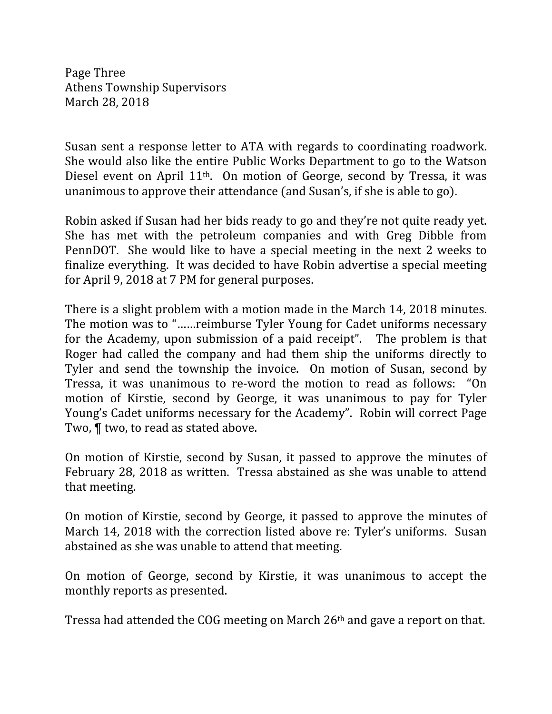Page Three Athens Township Supervisors March 28, 2018

Susan sent a response letter to ATA with regards to coordinating roadwork. She would also like the entire Public Works Department to go to the Watson Diesel event on April 11th. On motion of George, second by Tressa, it was unanimous to approve their attendance (and Susan's, if she is able to go).

Robin asked if Susan had her bids ready to go and they're not quite ready yet. She has met with the petroleum companies and with Greg Dibble from PennDOT. She would like to have a special meeting in the next 2 weeks to finalize everything. It was decided to have Robin advertise a special meeting for April 9, 2018 at 7 PM for general purposes.

There is a slight problem with a motion made in the March 14, 2018 minutes. The motion was to "……reimburse Tyler Young for Cadet uniforms necessary for the Academy, upon submission of a paid receipt". The problem is that Roger had called the company and had them ship the uniforms directly to Tyler and send the township the invoice. On motion of Susan, second by Tressa, it was unanimous to re-word the motion to read as follows: "On motion of Kirstie, second by George, it was unanimous to pay for Tyler Young's Cadet uniforms necessary for the Academy". Robin will correct Page Two, ¶ two, to read as stated above.

On motion of Kirstie, second by Susan, it passed to approve the minutes of February 28, 2018 as written. Tressa abstained as she was unable to attend that meeting.

On motion of Kirstie, second by George, it passed to approve the minutes of March 14, 2018 with the correction listed above re: Tyler's uniforms. Susan abstained as she was unable to attend that meeting.

On motion of George, second by Kirstie, it was unanimous to accept the monthly reports as presented.

Tressa had attended the COG meeting on March 26th and gave a report on that.